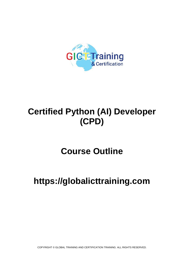

# **Certified Python (AI) Developer (CPD)**

# **Course Outline**

# **https://globalicttraining.com**

COPYRIGHT © GLOBAL TRAINING AND CERTIFICATION TRAINING. ALL RIGHTS RESERVED.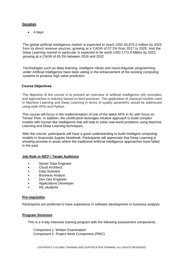#### **Duration**

 $\bullet$  4 days

The global artificial intelligence market is expected to reach USD 35,870.0 million by 2025 from its direct revenue sources, growing at a CAGR of 57.2% from 2017 to 2025. And the Deep Learning market in particular is expected to be worth USD 1772.9 Million by 2022, growing at a CAGR of 65.3% between 2016 and 2022

Technologies such as deep learning, intelligent robots and neuro-linguistic programming under Artificial Intelligence have been aiding in the enhancement of the existing computing systems to produce high value prediction.

## **Course Objectives**

The objective of the course is to present an overview of artificial intelligence (AI) principles and approaches in industry based on best practices. The application of classical models used in Machine Learning and Deep Learning in terms of quality parametric would be addressed using both APIs and Python.

This course will focus in the implementation of one of the latest APIs in AI, with focus on Tensor Flow. In addition, the certification leverages intuitive approach to build complex models with human like intelligence that will help to solve real-world problems using Machine Learning and Deep Learning techniques.

After the course, participants will have a good understanding to build intelligent computing models in Anaconda Jupyter Notebook. Participants will appreciate that Deep Learning is showing promise in areas where the traditional Artificial Intelligence approaches have failed in the past.

#### **Job Role in NICF / Target Audience**

- Senior Data Engineer
- Cloud Architect
- Data Scientist
- Business Analyst
- Dev Ops Engineer
- Applications Developer
- **IHL** students

#### **Pre-requisites**

Participants are preferred to have experience in software development or business analysis.

# **Program Structure**

This is a 4-day intensive training program with the following assessment components.

Component 1. Written Examination Component 2. Project Work Component (PWC)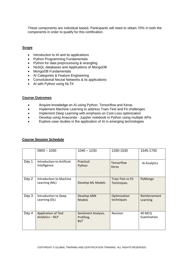These components are individual based. Participants will need to obtain 70% in both the components in order to qualify for this certification.

#### **Scope**

- Introduction to AI and its applications
- Python Programming Fundamentals
- Python for data preprocessing & wrangling
- NoSQL databases and Applications of MongoDB
- MongoDB Fundamentals
- AI Categories & Feature Engineering
- Convolutional Neural Networks & its applications
- AI with Python using NLTK

#### **Course Outcomes**

- Acquire knowledge on AI using Python, Tensorflow and Keras
- Implement Machine Learning to address Train-Test and Fit challenges
- Implement Deep Learning with emphasis on Cost-Loss optimization
- Develop using Anaconda Jupyter notebook in Python using multiple APIs
- Explore case studies in the application of AI in emerging technologies

|       | $0900 - 1030$                                   | $1045 - 1230$                                   | 1330-1530                       | 1545-1700                 |
|-------|-------------------------------------------------|-------------------------------------------------|---------------------------------|---------------------------|
| Day 1 | Introduction to Artificial<br>Intelligence      | Practical<br>Python                             | Tensorflow<br><b>Keras</b>      | Al Analytics              |
| Day 2 | <b>Introduction to Machine</b><br>Learning (ML) | Develop ML Models                               | Train-Test vs Fit<br>Techniques | PyMongo                   |
| Day 3 | Introduction to Deep<br>Learning (DL)           | Develop ANN<br><b>Models</b>                    | Optimization<br>techniques      | Reinforcement<br>Learning |
| Day 4 | <b>Application of Text</b><br>Analytics - NLP   | Sentiment Analysis,<br>Profiling,<br><b>BoT</b> | Revision                        | 40 MCQ<br>Examination     |

#### **Course Session Schedule**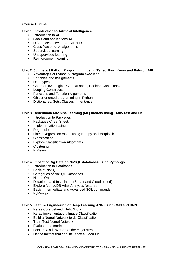## **Course Outline**

#### **Unit 1. Introduction to Artificial Intelligence**

- Introduction to AI
- Goals and applications AI
- Differences between AI, ML & DL
- Classification of AI algorithms
- Supervised learning
- Unsupervised learning
- Reinforcement learning

## **Unit 2. Jumpstart Python Programming using Tensorflow, Keras and Pytorch API**

- Advantages of Python & Program execution
- Variables and assignments
- Data types
- Control Flow- Logical Comparisons , Boolean Conditionals
- Looping Constructs
- Functions and Function Arguments
- Object-oriented programming in Python
- Dictionaries, Sets, Classes, Inheritance

## **Unit 3**. **Benchmark Machine Learning (ML) models using Train-Test and Fit**

- Introduction to Packages
- Packages Cheat Sheet.
- Implementation using
- Regression.
- Linear Regression model using Numpy and Matplotlib.
- Classification.
- Explore Classification Algorithms.
- Clustering
- K Means

#### **Unit 4. Impact of Big Data on NoSQL databases using Pymongo**

- Introduction to Databases
- Basic of NoSQL
- Categories of NoSQL Databases
- Hands On
- Download and Installation (Server and Cloud based)
- Explore MongoDB Atlas Analytics features
- Basic, Intermediate and Advanced SQL commands
- PyMongo

#### **Unit 5. Feature Engineering of Deep Learning ANN using CNN and RNN**

- Keras Core defined. Hello World
- Keras implementation. Image Classification
- Build a Neural Network to do Classification.
- **•** Train-Test Neural Network.
- Evaluate the model.
- Lets draw a flow chart of the major steps.
- Define factors that can influence a Good Fit.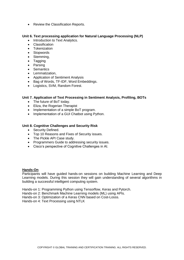• Review the Classification Reports.

#### **Unit 6. Text processing application for Natural Language Processing (NLP)**

- Introduction to Text Analytics.
- Classification
- Tokenization
- Stopwords
- Stemming,
- Tagging
- Parsing
- Semantics
- Lemmatization.
- Application of Sentiment Analysis
- Bag of Words, TF-IDF, Word Embeddings.
- Logistics, SVM, Random Forest.

## **Unit 7. Application of Text Processing in Sentiment Analysis, Profiling, BOTs**

- The future of BoT today.
- Eliza, the Rogerian Therapist
- Implementation of a simple BoT program.
- Implementation of a GUI Chatbot using Python.

#### **Unit 8. Cognitive Challenges and Security Risk**

- Security Defined.
- Top 10 Reasons and Fixes of Security issues.
- The Pickle API Case study.
- Programmers Guide to addressing security issues.
- Cisco's perspective of Cognitive Challenges in AI.

#### **Hands-On**

Participants will have guided hands-on sessions on building Machine Learning and Deep Learning models. During this session they will gain understanding of several algorithms in building a successful intelligent computing system.

Hands-on 1: Programming Python using Tensorflow, Keras and Pytorch.

- Hands-on 2: Benchmark Machine Learning models (ML) using APIs.
- Hands-on 3: Optimization of a Keras CNN based on Cost-Losss.

Hands-on 4: Text Processing using NTLK